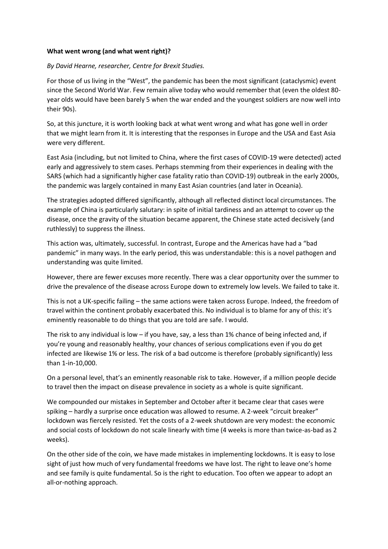## **What went wrong (and what went right)?**

## *By David Hearne, researcher, Centre for Brexit Studies.*

For those of us living in the "West", the pandemic has been the most significant (cataclysmic) event since the Second World War. Few remain alive today who would remember that (even the oldest 80 year olds would have been barely 5 when the war ended and the youngest soldiers are now well into their 90s).

So, at this juncture, it is worth looking back at what went wrong and what has gone well in order that we might learn from it. It is interesting that the responses in Europe and the USA and East Asia were very different.

East Asia (including, but not limited to China, where the first cases of COVID-19 were detected) acted early and aggressively to stem cases. Perhaps stemming from their experiences in dealing with the SARS (which had a significantly higher case fatality ratio than COVID-19) outbreak in the early 2000s, the pandemic was largely contained in many East Asian countries (and later in Oceania).

The strategies adopted differed significantly, although all reflected distinct local circumstances. The example of China is particularly salutary: in spite of initial tardiness and an attempt to cover up the disease, once the gravity of the situation became apparent, the Chinese state acted decisively (and ruthlessly) to suppress the illness.

This action was, ultimately, successful. In contrast, Europe and the Americas have had a "bad pandemic" in many ways. In the early period, this was understandable: this is a novel pathogen and understanding was quite limited.

However, there are fewer excuses more recently. There was a clear opportunity over the summer to drive the prevalence of the disease across Europe down to extremely low levels. We failed to take it.

This is not a UK-specific failing – the same actions were taken across Europe. Indeed, the freedom of travel within the continent probably exacerbated this. No individual is to blame for any of this: it's eminently reasonable to do things that you are told are safe. I would.

The risk to any individual is low – if you have, say, a less than 1% chance of being infected and, if you're young and reasonably healthy, your chances of serious complications even if you do get infected are likewise 1% or less. The risk of a bad outcome is therefore (probably significantly) less than 1-in-10,000.

On a personal level, that's an eminently reasonable risk to take. However, if a million people decide to travel then the impact on disease prevalence in society as a whole is quite significant.

We compounded our mistakes in September and October after it became clear that cases were spiking – hardly a surprise once education was allowed to resume. A 2-week "circuit breaker" lockdown was fiercely resisted. Yet the costs of a 2-week shutdown are very modest: the economic and social costs of lockdown do not scale linearly with time (4 weeks is more than twice-as-bad as 2 weeks).

On the other side of the coin, we have made mistakes in implementing lockdowns. It is easy to lose sight of just how much of very fundamental freedoms we have lost. The right to leave one's home and see family is quite fundamental. So is the right to education. Too often we appear to adopt an all-or-nothing approach.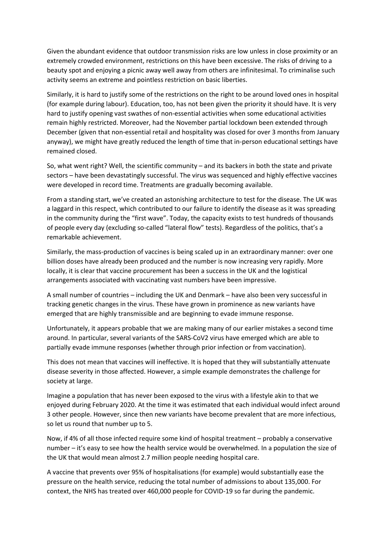Given the abundant evidence that outdoor transmission risks are low unless in close proximity or an extremely crowded environment, restrictions on this have been excessive. The risks of driving to a beauty spot and enjoying a picnic away well away from others are infinitesimal. To criminalise such activity seems an extreme and pointless restriction on basic liberties.

Similarly, it is hard to justify some of the restrictions on the right to be around loved ones in hospital (for example during labour). Education, too, has not been given the priority it should have. It is very hard to justify opening vast swathes of non-essential activities when some educational activities remain highly restricted. Moreover, had the November partial lockdown been extended through December (given that non-essential retail and hospitality was closed for over 3 months from January anyway), we might have greatly reduced the length of time that in-person educational settings have remained closed.

So, what went right? Well, the scientific community – and its backers in both the state and private sectors – have been devastatingly successful. The virus was sequenced and highly effective vaccines were developed in record time. Treatments are gradually becoming available.

From a standing start, we've created an astonishing architecture to test for the disease. The UK was a laggard in this respect, which contributed to our failure to identify the disease as it was spreading in the community during the "first wave". Today, the capacity exists to test hundreds of thousands of people every day (excluding so-called "lateral flow" tests). Regardless of the politics, that's a remarkable achievement.

Similarly, the mass-production of vaccines is being scaled up in an extraordinary manner: over one billion doses have already been produced and the number is now increasing very rapidly. More locally, it is clear that vaccine procurement has been a success in the UK and the logistical arrangements associated with vaccinating vast numbers have been impressive.

A small number of countries – including the UK and Denmark – have also been very successful in tracking genetic changes in the virus. These have grown in prominence as new variants have emerged that are highly transmissible and are beginning to evade immune response.

Unfortunately, it appears probable that we are making many of our earlier mistakes a second time around. In particular, several variants of the SARS-CoV2 virus have emerged which are able to partially evade immune responses (whether through prior infection or from vaccination).

This does not mean that vaccines will ineffective. It is hoped that they will substantially attenuate disease severity in those affected. However, a simple example demonstrates the challenge for society at large.

Imagine a population that has never been exposed to the virus with a lifestyle akin to that we enjoyed during February 2020. At the time it was estimated that each individual would infect around 3 other people. However, since then new variants have become prevalent that are more infectious, so let us round that number up to 5.

Now, if 4% of all those infected require some kind of hospital treatment – probably a conservative number – it's easy to see how the health service would be overwhelmed. In a population the size of the UK that would mean almost 2.7 million people needing hospital care.

A vaccine that prevents over 95% of hospitalisations (for example) would substantially ease the pressure on the health service, reducing the total number of admissions to about 135,000. For context, the NHS has treated over 460,000 people for COVID-19 so far during the pandemic.